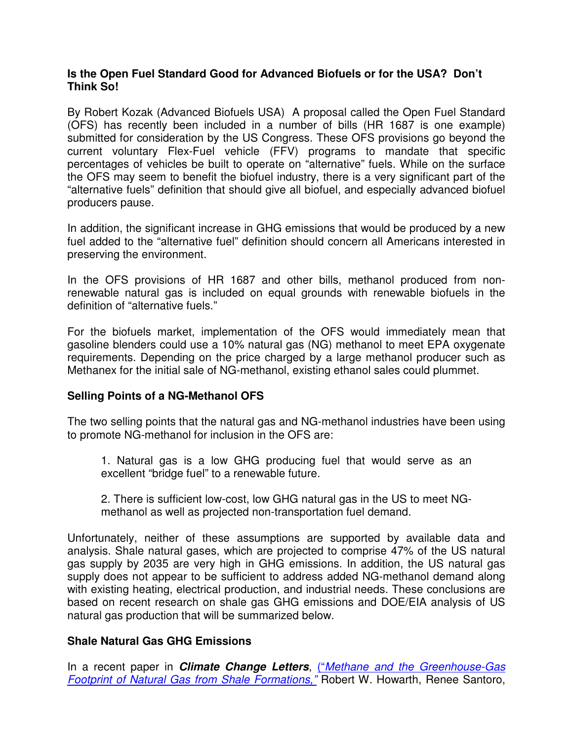### **Is the Open Fuel Standard Good for Advanced Biofuels or for the USA? Don't Think So!**

By Robert Kozak (Advanced Biofuels USA) A proposal called the Open Fuel Standard (OFS) has recently been included in a number of bills (HR 1687 is one example) submitted for consideration by the US Congress. These OFS provisions go beyond the current voluntary Flex-Fuel vehicle (FFV) programs to mandate that specific percentages of vehicles be built to operate on "alternative" fuels. While on the surface the OFS may seem to benefit the biofuel industry, there is a very significant part of the "alternative fuels" definition that should give all biofuel, and especially advanced biofuel producers pause.

In addition, the significant increase in GHG emissions that would be produced by a new fuel added to the "alternative fuel" definition should concern all Americans interested in preserving the environment.

In the OFS provisions of HR 1687 and other bills, methanol produced from nonrenewable natural gas is included on equal grounds with renewable biofuels in the definition of "alternative fuels."

For the biofuels market, implementation of the OFS would immediately mean that gasoline blenders could use a 10% natural gas (NG) methanol to meet EPA oxygenate requirements. Depending on the price charged by a large methanol producer such as Methanex for the initial sale of NG-methanol, existing ethanol sales could plummet.

## **Selling Points of a NG-Methanol OFS**

The two selling points that the natural gas and NG-methanol industries have been using to promote NG-methanol for inclusion in the OFS are:

1. Natural gas is a low GHG producing fuel that would serve as an excellent "bridge fuel" to a renewable future.

2. There is sufficient low-cost, low GHG natural gas in the US to meet NGmethanol as well as projected non-transportation fuel demand.

Unfortunately, neither of these assumptions are supported by available data and analysis. Shale natural gases, which are projected to comprise 47% of the US natural gas supply by 2035 are very high in GHG emissions. In addition, the US natural gas supply does not appear to be sufficient to address added NG-methanol demand along with existing heating, electrical production, and industrial needs. These conclusions are based on recent research on shale gas GHG emissions and DOE/EIA analysis of US natural gas production that will be summarized below.

## **Shale Natural Gas GHG Emissions**

In a recent paper in **Climate Change Letters**, *("Methane and the Greenhouse-Gas* Footprint of Natural Gas from Shale Formations," Robert W. Howarth, Renee Santoro,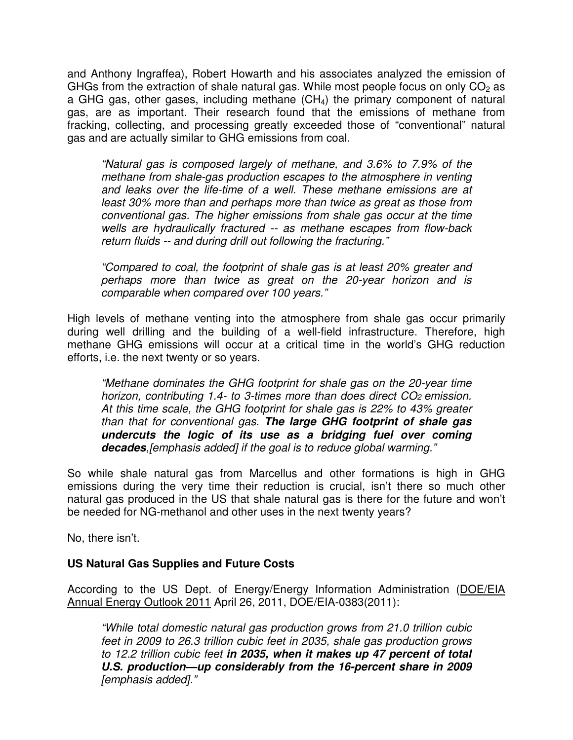and Anthony Ingraffea), Robert Howarth and his associates analyzed the emission of GHGs from the extraction of shale natural gas. While most people focus on only  $CO<sub>2</sub>$  as a GHG gas, other gases, including methane (CH<sub>4</sub>) the primary component of natural gas, are as important. Their research found that the emissions of methane from fracking, collecting, and processing greatly exceeded those of "conventional" natural gas and are actually similar to GHG emissions from coal.

"Natural gas is composed largely of methane, and 3.6% to 7.9% of the methane from shale-gas production escapes to the atmosphere in venting and leaks over the life-time of a well. These methane emissions are at least 30% more than and perhaps more than twice as great as those from conventional gas. The higher emissions from shale gas occur at the time wells are hydraulically fractured -- as methane escapes from flow-back return fluids -- and during drill out following the fracturing."

"Compared to coal, the footprint of shale gas is at least 20% greater and perhaps more than twice as great on the 20-year horizon and is comparable when compared over 100 years."

High levels of methane venting into the atmosphere from shale gas occur primarily during well drilling and the building of a well-field infrastructure. Therefore, high methane GHG emissions will occur at a critical time in the world's GHG reduction efforts, i.e. the next twenty or so years.

"Methane dominates the GHG footprint for shale gas on the 20-year time horizon, contributing 1.4- to 3-times more than does direct CO<sub>2</sub> emission. At this time scale, the GHG footprint for shale gas is 22% to 43% greater than that for conventional gas. **The large GHG footprint of shale gas undercuts the logic of its use as a bridging fuel over coming decades**,[emphasis added] if the goal is to reduce global warming."

So while shale natural gas from Marcellus and other formations is high in GHG emissions during the very time their reduction is crucial, isn't there so much other natural gas produced in the US that shale natural gas is there for the future and won't be needed for NG-methanol and other uses in the next twenty years?

No, there isn't.

## **US Natural Gas Supplies and Future Costs**

According to the US Dept. of Energy/Energy Information Administration (DOE/EIA Annual Energy Outlook 2011 April 26, 2011, DOE/EIA-0383(2011):

"While total domestic natural gas production grows from 21.0 trillion cubic feet in 2009 to 26.3 trillion cubic feet in 2035, shale gas production grows to 12.2 trillion cubic feet **in 2035, when it makes up 47 percent of total U.S. production—up considerably from the 16-percent share in 2009**  [emphasis added]."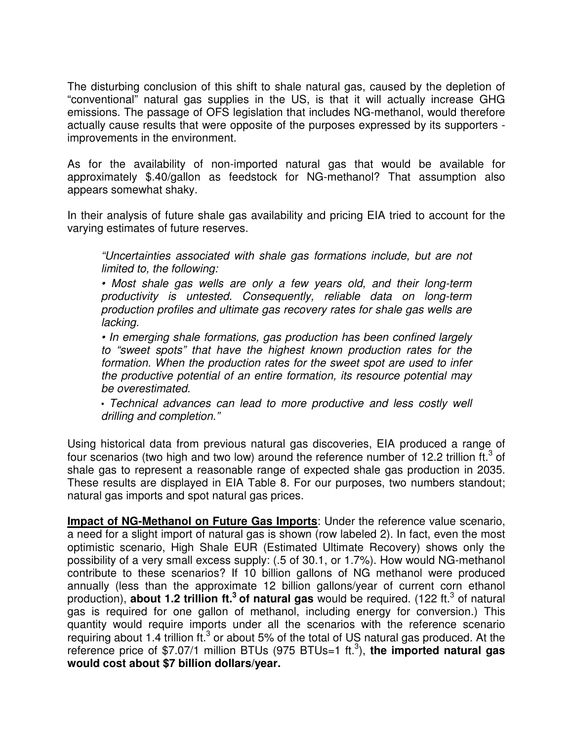The disturbing conclusion of this shift to shale natural gas, caused by the depletion of "conventional" natural gas supplies in the US, is that it will actually increase GHG emissions. The passage of OFS legislation that includes NG-methanol, would therefore actually cause results that were opposite of the purposes expressed by its supporters improvements in the environment.

As for the availability of non-imported natural gas that would be available for approximately \$.40/gallon as feedstock for NG-methanol? That assumption also appears somewhat shaky.

In their analysis of future shale gas availability and pricing EIA tried to account for the varying estimates of future reserves.

"Uncertainties associated with shale gas formations include, but are not limited to, the following:

• Most shale gas wells are only a few years old, and their long-term productivity is untested. Consequently, reliable data on long-term production profiles and ultimate gas recovery rates for shale gas wells are lacking.

• In emerging shale formations, gas production has been confined largely to "sweet spots" that have the highest known production rates for the formation. When the production rates for the sweet spot are used to infer the productive potential of an entire formation, its resource potential may be overestimated.

• Technical advances can lead to more productive and less costly well drilling and completion."

Using historical data from previous natural gas discoveries, EIA produced a range of four scenarios (two high and two low) around the reference number of 12.2 trillion ft.<sup>3</sup> of shale gas to represent a reasonable range of expected shale gas production in 2035. These results are displayed in EIA Table 8. For our purposes, two numbers standout; natural gas imports and spot natural gas prices.

**Impact of NG-Methanol on Future Gas Imports**: Under the reference value scenario, a need for a slight import of natural gas is shown (row labeled 2). In fact, even the most optimistic scenario, High Shale EUR (Estimated Ultimate Recovery) shows only the possibility of a very small excess supply: (.5 of 30.1, or 1.7%). How would NG-methanol contribute to these scenarios? If 10 billion gallons of NG methanol were produced annually (less than the approximate 12 billion gallons/year of current corn ethanol production), **about 1.2 trillion ft.<sup>3</sup> of natural gas** would be required. (122 ft.<sup>3</sup> of natural gas is required for one gallon of methanol, including energy for conversion.) This quantity would require imports under all the scenarios with the reference scenario requiring about 1.4 trillion ft. $3$  or about 5% of the total of US natural gas produced. At the reference price of \$7.07/1 million BTUs (975 BTUs=1 ft. 3 ), **the imported natural gas would cost about \$7 billion dollars/year.**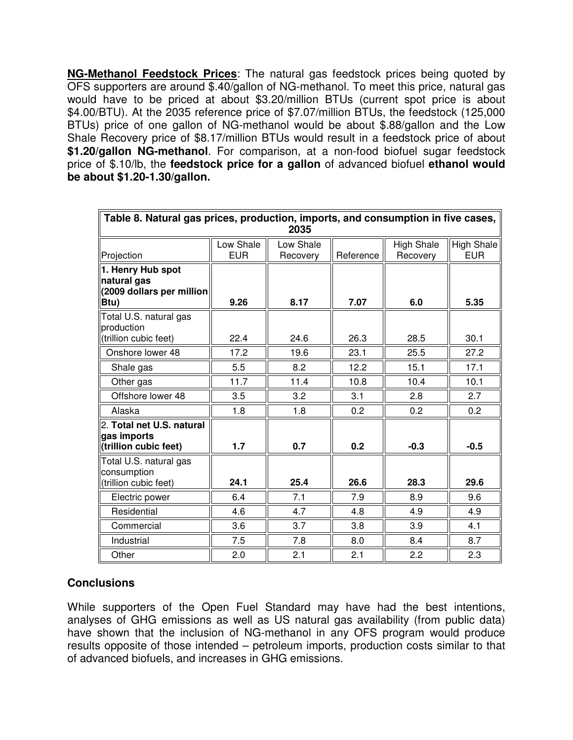**NG-Methanol Feedstock Prices**: The natural gas feedstock prices being quoted by OFS supporters are around \$.40/gallon of NG-methanol. To meet this price, natural gas would have to be priced at about \$3.20/million BTUs (current spot price is about \$4.00/BTU). At the 2035 reference price of \$7.07/million BTUs, the feedstock (125,000 BTUs) price of one gallon of NG-methanol would be about \$.88/gallon and the Low Shale Recovery price of \$8.17/million BTUs would result in a feedstock price of about **\$1.20/gallon NG-methanol**. For comparison, at a non-food biofuel sugar feedstock price of \$.10/lb, the **feedstock price for a gallon** of advanced biofuel **ethanol would be about \$1.20-1.30/gallon.**

| Table 8. Natural gas prices, production, imports, and consumption in five cases, |            |           |           |                   |            |
|----------------------------------------------------------------------------------|------------|-----------|-----------|-------------------|------------|
| 2035                                                                             |            |           |           |                   |            |
|                                                                                  | Low Shale  | Low Shale |           | <b>High Shale</b> | High Shale |
| Projection                                                                       | <b>EUR</b> | Recovery  | Reference | Recovery          | <b>EUR</b> |
| 1. Henry Hub spot                                                                |            |           |           |                   |            |
| natural gas                                                                      |            |           |           |                   |            |
| (2009 dollars per million<br>Btu)                                                | 9.26       | 8.17      | 7.07      | 6.0               | 5.35       |
|                                                                                  |            |           |           |                   |            |
| Total U.S. natural gas<br>production                                             |            |           |           |                   |            |
| (trillion cubic feet)                                                            | 22.4       | 24.6      | 26.3      | 28.5              | 30.1       |
| Onshore lower 48                                                                 | 17.2       | 19.6      | 23.1      | 25.5              | 27.2       |
| Shale gas                                                                        | 5.5        | 8.2       | 12.2      | 15.1              | 17.1       |
| Other gas                                                                        | 11.7       | 11.4      | 10.8      | 10.4              | 10.1       |
| Offshore lower 48                                                                | 3.5        | 3.2       | 3.1       | 2.8               | 2.7        |
| Alaska                                                                           | 1.8        | 1.8       | 0.2       | 0.2               | 0.2        |
| 2. Total net U.S. natural                                                        |            |           |           |                   |            |
| gas imports                                                                      |            |           |           |                   |            |
| (trillion cubic feet)                                                            | 1.7        | 0.7       | 0.2       | $-0.3$            | $-0.5$     |
| Total U.S. natural gas                                                           |            |           |           |                   |            |
| consumption                                                                      |            |           |           |                   |            |
| (trillion cubic feet)                                                            | 24.1       | 25.4      | 26.6      | 28.3              | 29.6       |
| Electric power                                                                   | 6.4        | 7.1       | 7.9       | 8.9               | 9.6        |
| Residential                                                                      | 4.6        | 4.7       | 4.8       | 4.9               | 4.9        |
| Commercial                                                                       | 3.6        | 3.7       | 3.8       | 3.9               | 4.1        |
| Industrial                                                                       | 7.5        | 7.8       | 8.0       | 8.4               | 8.7        |
| Other                                                                            | 2.0        | 2.1       | 2.1       | 2.2               | 2.3        |

# **Conclusions**

While supporters of the Open Fuel Standard may have had the best intentions, analyses of GHG emissions as well as US natural gas availability (from public data) have shown that the inclusion of NG-methanol in any OFS program would produce results opposite of those intended – petroleum imports, production costs similar to that of advanced biofuels, and increases in GHG emissions.